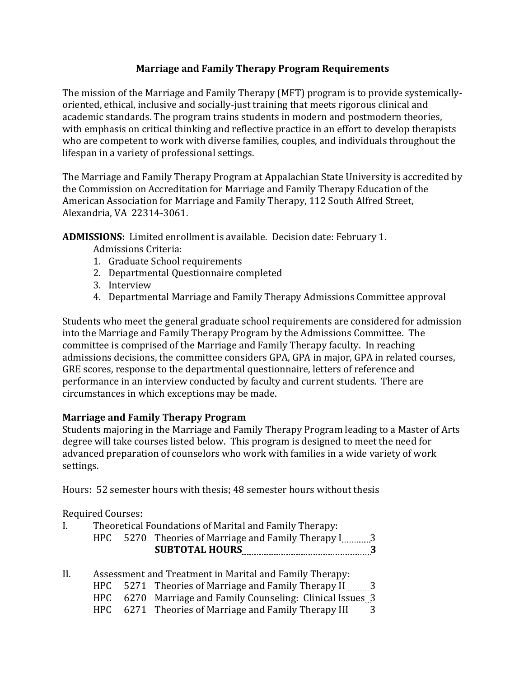## **Marriage and Family Therapy Program Requirements**

The mission of the Marriage and Family Therapy (MFT) program is to provide systemicallyoriented, ethical, inclusive and socially-just training that meets rigorous clinical and academic standards. The program trains students in modern and postmodern theories, with emphasis on critical thinking and reflective practice in an effort to develop therapists who are competent to work with diverse families, couples, and individuals throughout the lifespan in a variety of professional settings.

The Marriage and Family Therapy Program at Appalachian State University is accredited by the Commission on Accreditation for Marriage and Family Therapy Education of the American Association for Marriage and Family Therapy, 112 South Alfred Street, Alexandria, VA 22314-3061.

**ADMISSIONS:** Limited enrollment is available. Decision date: February 1.

Admissions Criteria:

- 1. Graduate School requirements
- 2. Departmental Questionnaire completed
- 3. Interview
- 4. Departmental Marriage and Family Therapy Admissions Committee approval

Students who meet the general graduate school requirements are considered for admission into the Marriage and Family Therapy Program by the Admissions Committee. The committee is comprised of the Marriage and Family Therapy faculty. In reaching admissions decisions, the committee considers GPA, GPA in major, GPA in related courses, GRE scores, response to the departmental questionnaire, letters of reference and performance in an interview conducted by faculty and current students. There are circumstances in which exceptions may be made.

## **Marriage and Family Therapy Program**

Students majoring in the Marriage and Family Therapy Program leading to a Master of Arts degree will take courses listed below. This program is designed to meet the need for advanced preparation of counselors who work with families in a wide variety of work settings.

Hours: 52 semester hours with thesis; 48 semester hours without thesis

Required Courses:

| $\mathbf{L}$ | Theoretical Foundations of Marital and Family Therapy: |  |                                                     |  |  |
|--------------|--------------------------------------------------------|--|-----------------------------------------------------|--|--|
|              |                                                        |  | HPC 5270 Theories of Marriage and Family Therapy I3 |  |  |
|              |                                                        |  | <b>SUBTOTAL HOURS</b>                               |  |  |
|              |                                                        |  |                                                     |  |  |

II. Assessment and Treatment in Marital and Family Therapy: HPC  $5271$  Theories of Marriage and Family Therapy II 3 HPC 6270 Marriage and Family Counseling: Clinical Issues 3 HPC 6271 Theories of Marriage and Family Therapy III 3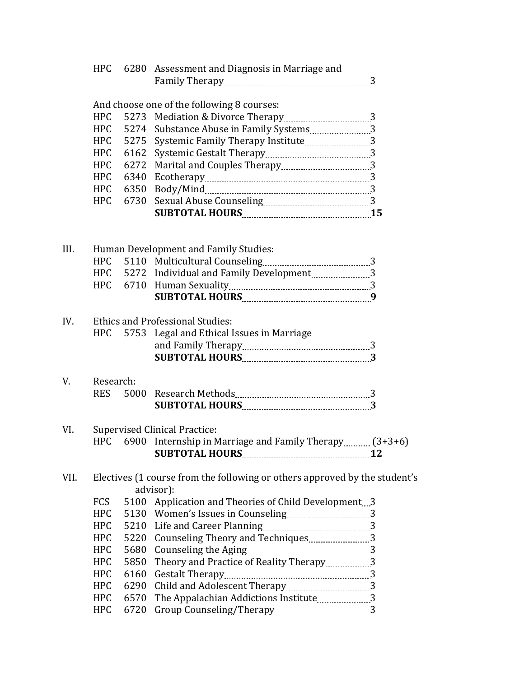|      |                                                                                         |      | HPC 6280 Assessment and Diagnosis in Marriage and          |  |  |  |  |  |
|------|-----------------------------------------------------------------------------------------|------|------------------------------------------------------------|--|--|--|--|--|
|      |                                                                                         |      |                                                            |  |  |  |  |  |
|      | And choose one of the following 8 courses:                                              |      |                                                            |  |  |  |  |  |
|      | <b>HPC</b>                                                                              |      |                                                            |  |  |  |  |  |
|      |                                                                                         |      | HPC 5274 Substance Abuse in Family Systems3                |  |  |  |  |  |
|      |                                                                                         |      | HPC 5275 Systemic Family Therapy Institute3                |  |  |  |  |  |
|      | <b>HPC</b>                                                                              |      |                                                            |  |  |  |  |  |
|      | <b>HPC</b>                                                                              |      |                                                            |  |  |  |  |  |
|      | <b>HPC</b>                                                                              | 6340 |                                                            |  |  |  |  |  |
|      |                                                                                         |      |                                                            |  |  |  |  |  |
|      | <b>HPC</b>                                                                              | 6730 |                                                            |  |  |  |  |  |
|      |                                                                                         |      |                                                            |  |  |  |  |  |
| III. |                                                                                         |      | Human Development and Family Studies:                      |  |  |  |  |  |
|      |                                                                                         |      | HPC 5272 Individual and Family Development3                |  |  |  |  |  |
|      |                                                                                         |      |                                                            |  |  |  |  |  |
|      |                                                                                         |      |                                                            |  |  |  |  |  |
|      |                                                                                         |      |                                                            |  |  |  |  |  |
| IV.  | <b>Ethics and Professional Studies:</b>                                                 |      |                                                            |  |  |  |  |  |
|      | HPC                                                                                     |      | 5753 Legal and Ethical Issues in Marriage                  |  |  |  |  |  |
|      |                                                                                         |      |                                                            |  |  |  |  |  |
|      |                                                                                         |      |                                                            |  |  |  |  |  |
| V.   | Research:                                                                               |      |                                                            |  |  |  |  |  |
|      | <b>RES</b>                                                                              | 5000 |                                                            |  |  |  |  |  |
|      |                                                                                         |      |                                                            |  |  |  |  |  |
|      |                                                                                         |      |                                                            |  |  |  |  |  |
| VI.  | <b>Supervised Clinical Practice:</b>                                                    |      |                                                            |  |  |  |  |  |
|      |                                                                                         |      | HPC 6900 Internship in Marriage and Family Therapy (3+3+6) |  |  |  |  |  |
|      |                                                                                         |      |                                                            |  |  |  |  |  |
| VII. | Electives (1 course from the following or others approved by the student's<br>advisor): |      |                                                            |  |  |  |  |  |
|      | <b>FCS</b>                                                                              |      | 5100 Application and Theories of Child Development 3       |  |  |  |  |  |
|      | <b>HPC</b>                                                                              |      |                                                            |  |  |  |  |  |
|      | <b>HPC</b>                                                                              |      |                                                            |  |  |  |  |  |
|      | <b>HPC</b>                                                                              |      | 5220 Counseling Theory and Techniques3                     |  |  |  |  |  |
|      | <b>HPC</b>                                                                              |      |                                                            |  |  |  |  |  |
|      | <b>HPC</b>                                                                              | 5850 | Theory and Practice of Reality Therapy3                    |  |  |  |  |  |
|      | <b>HPC</b>                                                                              | 6160 |                                                            |  |  |  |  |  |
|      | <b>HPC</b>                                                                              | 6290 |                                                            |  |  |  |  |  |
|      | <b>HPC</b>                                                                              | 6570 |                                                            |  |  |  |  |  |
|      | <b>HPC</b>                                                                              | 6720 |                                                            |  |  |  |  |  |
|      |                                                                                         |      |                                                            |  |  |  |  |  |